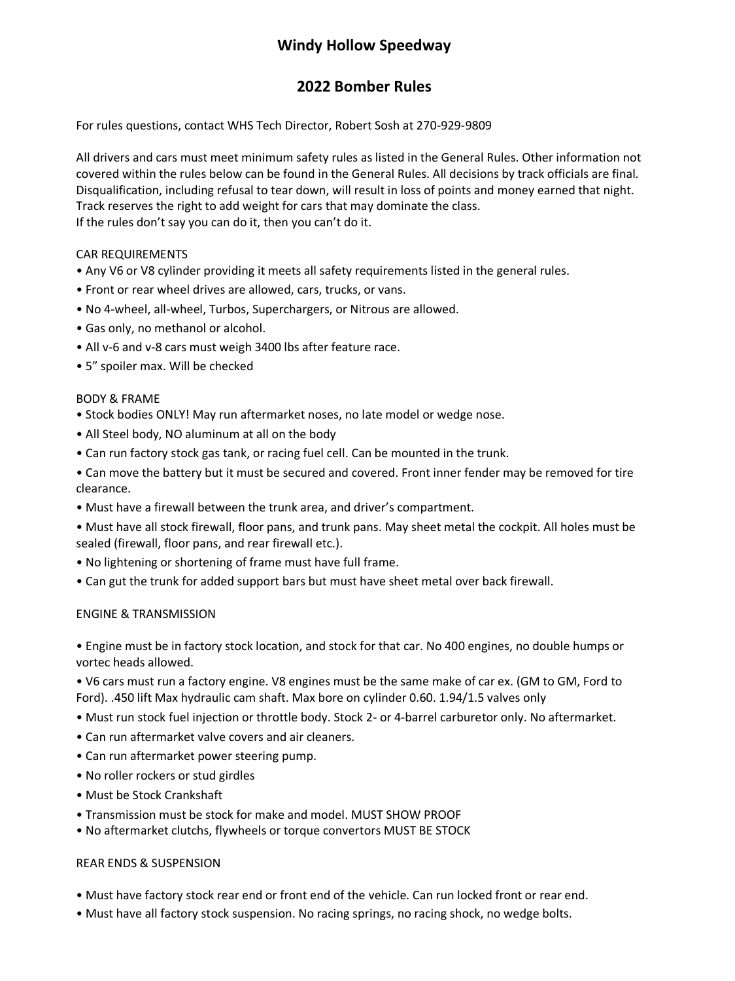# **Windy Hollow Speedway**

## **2022 Bomber Rules**

For rules questions, contact WHS Tech Director, Robert Sosh at 270-929-9809

All drivers and cars must meet minimum safety rules as listed in the General Rules. Other information not covered within the rules below can be found in the General Rules. All decisions by track officials are final. Disqualification, including refusal to tear down, will result in loss of points and money earned that night. Track reserves the right to add weight for cars that may dominate the class. If the rules don't say you can do it, then you can't do it.

### CAR REQUIREMENTS

- Any V6 or V8 cylinder providing it meets all safety requirements listed in the general rules.
- Front or rear wheel drives are allowed, cars, trucks, or vans.
- No 4-wheel, all-wheel, Turbos, Superchargers, or Nitrous are allowed.
- Gas only, no methanol or alcohol.
- All v-6 and v-8 cars must weigh 3400 lbs after feature race.
- 5" spoiler max. Will be checked

### BODY & FRAME

- Stock bodies ONLY! May run aftermarket noses, no late model or wedge nose.
- All Steel body, NO aluminum at all on the body
- Can run factory stock gas tank, or racing fuel cell. Can be mounted in the trunk.
- Can move the battery but it must be secured and covered. Front inner fender may be removed for tire clearance.
- Must have a firewall between the trunk area, and driver's compartment.
- Must have all stock firewall, floor pans, and trunk pans. May sheet metal the cockpit. All holes must be sealed (firewall, floor pans, and rear firewall etc.).
- No lightening or shortening of frame must have full frame.
- Can gut the trunk for added support bars but must have sheet metal over back firewall.

### ENGINE & TRANSMISSION

• Engine must be in factory stock location, and stock for that car. No 400 engines, no double humps or vortec heads allowed.

• V6 cars must run a factory engine. V8 engines must be the same make of car ex. (GM to GM, Ford to Ford). .450 lift Max hydraulic cam shaft. Max bore on cylinder 0.60. 1.94/1.5 valves only

- Must run stock fuel injection or throttle body. Stock 2- or 4-barrel carburetor only. No aftermarket.
- Can run aftermarket valve covers and air cleaners.
- Can run aftermarket power steering pump.
- No roller rockers or stud girdles
- Must be Stock Crankshaft
- Transmission must be stock for make and model. MUST SHOW PROOF
- No aftermarket clutchs, flywheels or torque convertors MUST BE STOCK

### REAR ENDS & SUSPENSION

- Must have factory stock rear end or front end of the vehicle. Can run locked front or rear end.
- Must have all factory stock suspension. No racing springs, no racing shock, no wedge bolts.